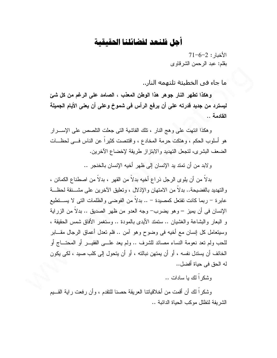## أهل فلنعد لفضائلنا الحقيقية

 $71 - 6 - 2$  : الأخدا بقلم: عبد الرحمن الشرقاوي

ما جاء في الخطيئة تلتهمه النار..

وهكذا تطهر النار جوهر هذا الوطن المعذب ، الصامد على الرغم من كل شئ ليسترد من جديد قدرته على أن يرفع الرأس في شموخ وعلى أن يعني الأيام الجميلة القادمة ..

و هكذا انتهت على و هج النار ، تلك الفاشية التي جعلت التلصص على الإســـرار هو أسلوب الحكم ، وهتكت حرمة المخادع ، وافتتصت كثيراً عن الناس فسي لحظــات الضعف البشرى، لتجعل التهديد والابتزاز طريقة لإخضاع الأخرين.

ولابد من أن تمتد يد الإنسان إلى ظهر أخيه الإنسان بالخنجر ..

بدلاً من أن يلو ي الرجل ذر اع أخيه بدلاً من القهر ، بدلاً من اصطناع الكمائن ، والتهديد بالفضيحة.. بدلاً من الامتهان والإذلال ، وتعليق الآخرين على مشـــنقة لحظــة عابرة – ربما كانت تفتعل كمصبدة – .. بدلاً من الفوضبي والظلمات التي لا يســـتطيع الإنسان في أن يميز – وهو يضرب– وجه العدو من ظهر الصديق .. بدلا من الزراية و البعار والبشاعة والغشيان .. ستمتد الأيدي بالمودة .. وستغمر الأفاق شمس الحقيقة ، وسبيتعامل كل إنسان مع أخيه في وضوح وهو آمن .. فلم نعدل أعماق الرجال مقـــابر للحب ولم نعد نعومة النساء مصائد للشرف .. ولم يعد علـــى الفقيـــر أو المحتـــاج أو الْخائف أن يستدل نفسه ، أو أن يمتهن نبالته ، أو أن يتحول إلى كلب صبد ، لكي يكون له الحق في حياة أفضل..

وشكر ألك يا سادات ..

وشكراً لك أن أقمت من أخلاقياتنا العريقة حصنا للنقدم ، وأن رفعت راية القـــيم الشر بفة لتظلل موكب الحباة الدائبة ..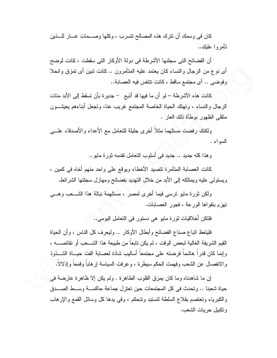كان في وسمك أن نترك هذه المصالح نتسرب ، وكلها وصـــمات عـــار للــــذين تأمروا عليك..

أن الفضائح التي سجلنها الأشرطة في دولة الأوكار التي سقطت ، كانت لوضح أي نوع من الرجال والنساء كان يعتمد عليه المتأمرون .. كانت نبين أي تمزق وانحلا وفوضي .. أي مجتمع ساقط ، كانت نتنفس فيه العصابة..

كانت هذه الأشرطة – لو أن ما فيها قد أذيع – جديرة بأن تسقط إلى الأبد مئات الرجال والنساء ، ونهنك الحياة الخاصة المجتمع غريب عنا، ونجعل أبناءهم يعيثىــــون منقلبي الظهور بوطأة ذلك العار .

ولكنك رفضت مستلهما مثلا أخرى جليلة للتعامل مع الأعداء والأصدقاء علسى السواءِ .

وهذا كله جديد .. جديد في أسلوب النعامل نقدمه ثورة مايو ..

كانت العصابة المتأمر ة تتصيد الأخطاء وبوقع على واحد منهم أخاه في كمين ، ويستولـى عليه ويمتلكه إلـى الأبد من خلال النـهديد بفضـائـح ومـهازل سـجلنـها الشرائط.

ولكن ثورة مايو نرسى فيما أخرى لمصر ، مستلهمة نبالة هذا الشـــعب وهـــي نهزِم بنقواها الورعة ، فجور العصابات.

فلنكن أخلاقيات ثورة مايو ٍ هي دستور ٍ في التعامل اليومي..

فليتعظ انباع صناع الفضائح وأبطال الأوكار .. وليعرف كل الناس ، وأن الحياة القيم الشريفة الغالية لبعض الوقت ، لم يكن نابعاً من طبيعة هذا الشـــعب أو نقائصــــه ، وإنما كان قدراً هاشماً فرضته على مجتمعاً أساليب شاذة لعصابة الفت حيساة الشسذوذ والانفصال عن الشعب وفهمت الحكم سيطرة ، وعرفت السياسة إرهابا وقمعا وإذلالا.

إن ما شاهدناه وما كان يمز في القلوب الطاهر ة . ولم يكن إلا ظاهر ة عارضة في ا حياة شعبنا .. وتحدث في كل المجتمعات حين تعتز ل جماعة حاكمـــة وســـط الصــــدق والكبرياء وتعتصم بقلاع السلطة لتستبد وتنحكم ، وفي يدها كل وسائل القمع والإرهاب وتكبيل حريات الشعب.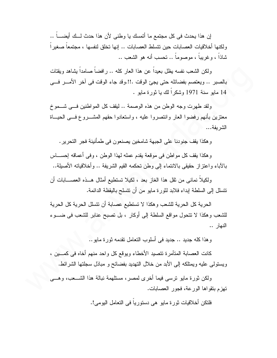إن هذا يحدث في كل مجتمع ما أتمسك يا وطني لأن هذا حدث لــك أيضــــاً .. ولكنها أخلاقيات العصابات حين نتسلط العصابات .. إنها نخلق لنفسها ، مجتمعا صغير ا شاذاً ، و غريباً ، موصوماً .. تحسب أنه هو الشعب ..

ولكن الشعب نفسه بظل بعبداً عن هذا العار كله .. ر افضاً صامداً بشاهد وبقتات بالصبر .. ويعتصم بفضائله حتى يجئ الوقت .!!.وقد جاء الوقت في آخر الأمـــر فـــي 14 مابو سنة 1971 وشكراً لك با ثورة مابو .

ولقد طهرت وجه الوطن من هذه الوصمة .. ليقف كل المواطنين فسي شـــموخ معتزين بأنهم رفضوا العار وانتصروا عليه ، واستعادوا حقهم المشـــروع فـــي الحيـــاة الشر ىفة...

و هكذا يقف جنودنا على الجبهة شامخين يصنعون في طمأنينة فجر النحرير .

و هكذا يقف كل مواطن في موقعة يقدم عمله لهذا الوطن ، وفي أعماقه إحســـاس بالآباء واعتزاز حقيقي بالانتماء إلى وطن تحكمه القيم الشريفة .. وأخلاقياته الأصبلة..

ولكيلاً نماني من ثقل هذا الغاز بعد ، لكيلا تستطيع أمثال هـــذه العصــــابات أن نتسلل إلى السلطة إبداء فلابد لثورة مايو من أن نتسلح بالبقظة الدائمة.

الحرية كل الحرية للشعب و هكذا لا تستطيع عصابة أن تتسلل الحرية كل الحرية للشعب وهكذا لا نتحول مواقع السلطة إلى أوكار ، بل نصبح عنابر للشعب في ضـــوء النهار ..

و هذا كله جديد .. جديد في أسلوب التعامل تقدمه ثور ة مايو ..

كانت العصابة المتأمرة تتصيد الأخطاء ويوقع كل واحد منهم أخاه في كمــــين ، ويستولَّى عليه ويمتلكه إلى الأبد من خلال النهديد بفضائح و مباذل سجلتها الشرائط.

ولكن ثورة مايو نرسبي فيما أخرى لمصر، مستلهمة نبالة هذا الشـــعب، وهــــي ا تهزم بنقواها الورعة، فجور العصابات.

فلتكن أخلاقيات ثور ة مايو هي دستور ياً في التعامل اليو مي!.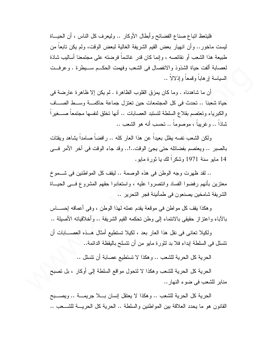فليتعظ اتباع صناع الفضائح و أبطال الأوكار .. وليعرف كل الناس ، أن الحيساة ليست ماخور .. وأن انهيار بعض القيم الشريفة الغالية لبعض الوقت، ولم يكن نابعاً من طبيعة هذا الشعب أو نقائصه ، وإنما كان قدر غاشما فرضته على مجتمعنا أساليب شاذة لعصابة ألفت حياة الشذوذ والانفصال في الشعب وفهمت الحكــم ســـبطرة . وعرفــت السباسة إر هاباً وقمعاً وإذلالاً ..

أن ما شاهدناه . وما كان يمز ق القلوب الظاهر ة . لم يكن إلا ظاهر ة عار ضة في حياة شعبنا .. تحدث في كل المجتمعات حين تعتزل جماعة حاكمـــة وســط الصـــاف والكبرياء وتعتصم بقلاع السلطة لتستبد العصابات .. أنها تخلق لنفسها مجتمعاً صــــغيراً شاذاً .. وغريباً ، موصوماً .. نحسب أنه هو الشعب ..

ولكن الشعب نفسه بظل بعيداً عن هذا العار كله .. رافضاً صامداً بِشاهد وبِقتات بالصبر .. ويعتصم بفضائله حتى يجئ الوقت..!.. وقد جاء الوقت في آخر الأمر فسي 14 مابو سنة 1971 وشكراً لك با ثورة مابو .

.. لقد ظهرت وجه الوطن في هذه الوصمة .. ليقف كل المواطنين في شــموخ معتزين بأنهم رفضوا الفساد وانتصروا عليه ، واستعادوا حقهم المشروع فسي الحيساة الشريفة شامخين يصنعون في طمأنينة فجر التحرير ..

وهكذا يقف كل مواطن في موقعة يقدم عمله لهذا الوطن ، وفي أعماقه إحســـاس بالأباء واعتزاز حقيقي بالانتماء إلى وطن تحكمه القيم الشريفة .. وأخلاقياته الأصلية ..

ولكيلا تعاني في نقل هذا العار بعد ، لكيلا تستطيع أمثال هــذه العصـــابات أن تتسلل في السلطة ابداء فلا بد لثورة مايو من أن تتسلح باليقظة الدائمة.. ا

الحرية كل الحرية للشعب .. وهكذا لا تستطيع عصابة أن تتسلل ..

الحرية كل الحرية للشعب وهكذا لا لتحول مواقع السلطة إلى أوكار ، بل تصبح منابر للشعب في ضوء النهار ..

الحرية كل الحرية للشعب .. وهكذا لا يعتقل إنسان بـــلا جريمـــة .. ويصـــبح القانون هو ما يحدد العلاقة بين المواطنين والسلطة .. الحرية كل الحريسة للشـــعب ..